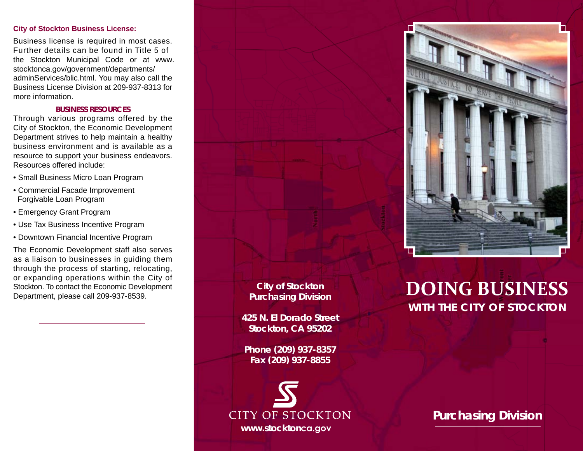## **City of Stockton Business License:**

Business license is required in most cases. Further details can be found in Title 5 of the Stockton Municipal Code or at www. stocktonca.gov/government/departments/ adminServices/blic.html. You may also call the Business License Division at 209-937-8313 for more information.

# **BUSINESS RESOURCES**

Through various programs offered by the City of Stockton, the Economic Development Department strives to help maintain a healthy business environment and is available as a resource to support your business endeavors. Resources offered include:

- Small Business Micro Loan Program
- Commercial Facade Improvement Forgivable Loan Program
- Emergency Grant Program
- Use Tax Business Incentive Program
- Downtown Financial Incentive Program

The Economic Development staff also serves as a liaison to businesses in guiding them through the process of starting, relocating, or expanding operations within the City of Stockton. To contact the Economic Development Department, please call 209-937-8539.



 $\mathcal{L}$